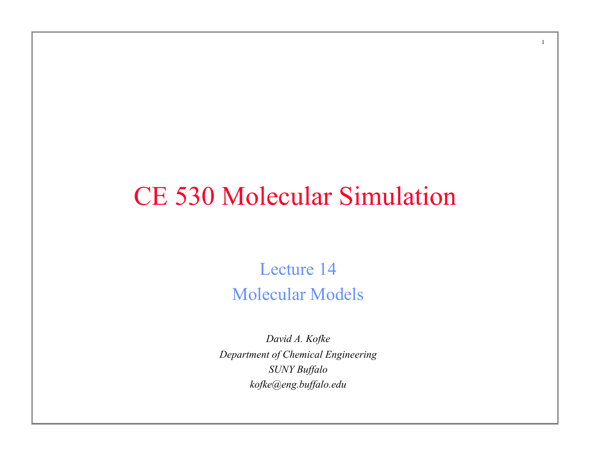# CE 530 Molecular Simulation

1

Lecture 14 Molecular Models

*David A. Kofke Department of Chemical Engineering SUNY Buffalo kofke@eng.buffalo.edu*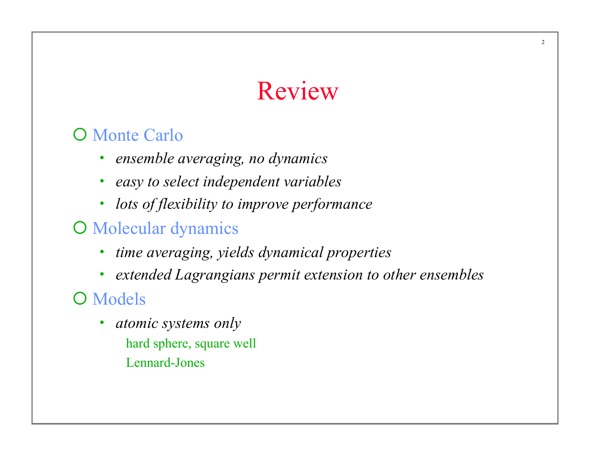# Review

#### **O** Monte Carlo

- *ensemble averaging, no dynamics*
- *easy to select independent variables*
- *lots of flexibility to improve performance*
- O Molecular dynamics
	- *time averaging, yields dynamical properties*
	- *extended Lagrangians permit extension to other ensembles*

#### O Models

• *atomic systems only*  hard sphere, square well Lennard-Jones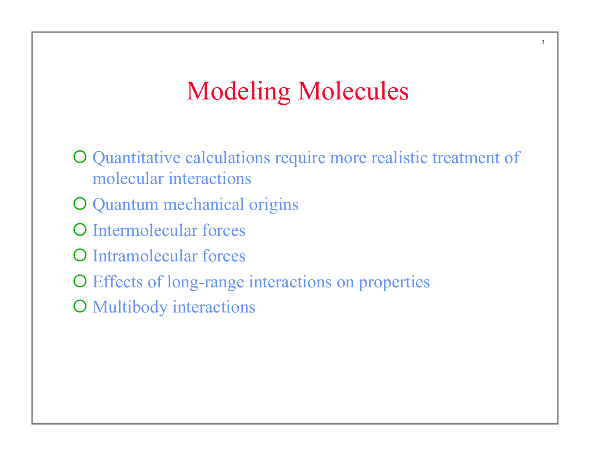# Modeling Molecules

3

O Quantitative calculations require more realistic treatment of molecular interactions O Quantum mechanical origins O Intermolecular forces **O** Intramolecular forces

O Effects of long-range interactions on properties

**O** Multibody interactions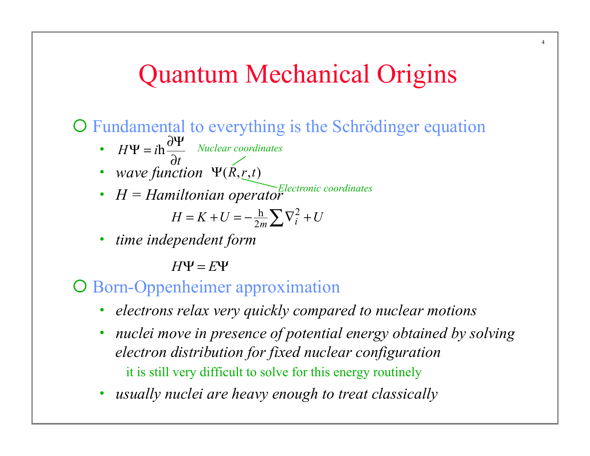# Quantum Mechanical Origins

¡ Fundamental to everything is the Schrödinger equation

- $H\Psi = i$ *t*  $\Psi = i h \frac{\partial \Psi}{\partial x}$  $\partial$ h *Nuclear coordinates*
- *wave function*  $\Psi(R, r, t)$
- $H = Hamiltonian operator$

$$
H = K + U = -\frac{h}{2m} \sum \nabla_i^2 + U
$$

• *time independent form* 

 $H\Psi = E\Psi$ 

#### **O** Born-Oppenheimer approximation

- *electrons relax very quickly compared to nuclear motions*
- *nuclei move in presence of potential energy obtained by solving electron distribution for fixed nuclear configuration*  it is still very difficult to solve for this energy routinely
- *usually nuclei are heavy enough to treat classically*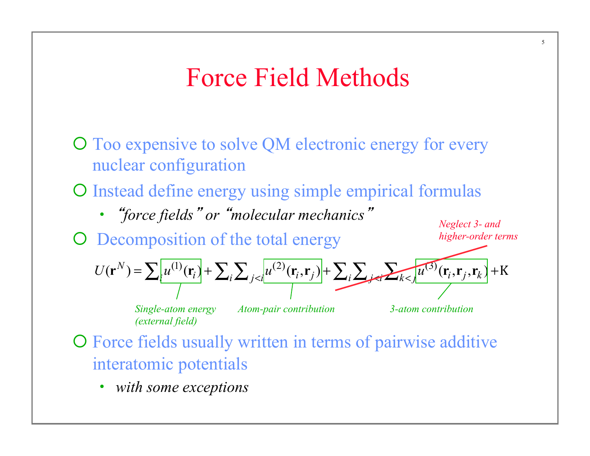# Force Field Methods

- O Too expensive to solve QM electronic energy for every nuclear configuration
- O Instead define energy using simple empirical formulas
	- *"force fields" or "molecular mechanics"*
- **O** Decomposition of the total energy

*Neglect 3- and higher-order terms*

$$
U(\mathbf{r}^{N}) = \sum_{i} u^{(1)}(\mathbf{r}_{i}) + \sum_{i} \sum_{j < i} u^{(2)}(\mathbf{r}_{i}, \mathbf{r}_{j}) + \sum_{i} \sum_{j < i} u^{(3)}(\mathbf{r}_{i}, \mathbf{r}_{j}, \mathbf{r}_{k}) + \mathbf{K}
$$

*Single-atom energy (external field)*

*Atom-pair contribution 3-atom contribution*

- O Force fields usually written in terms of pairwise additive interatomic potentials
	- *with some exceptions*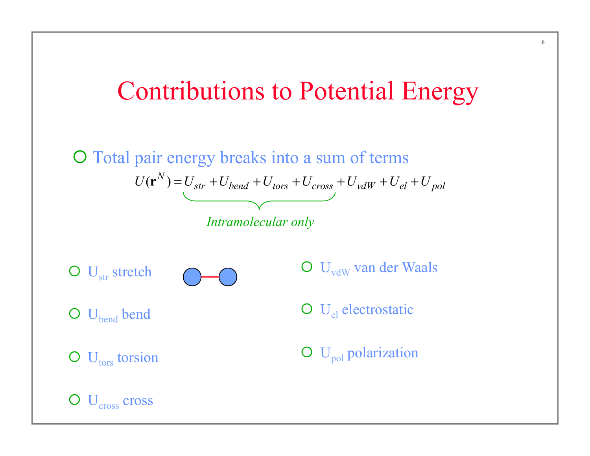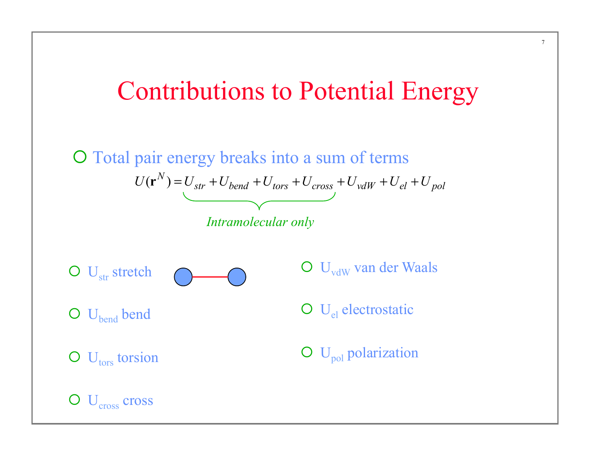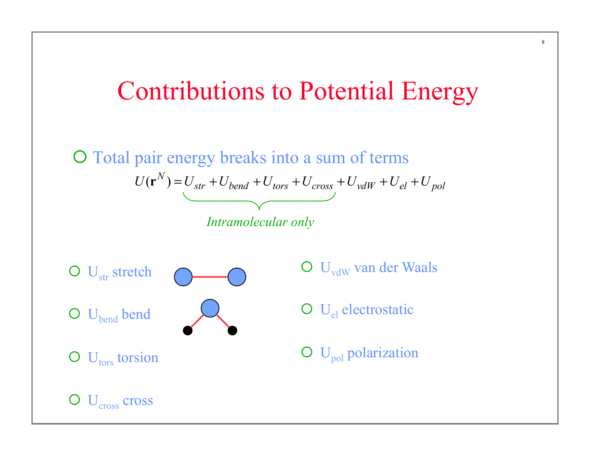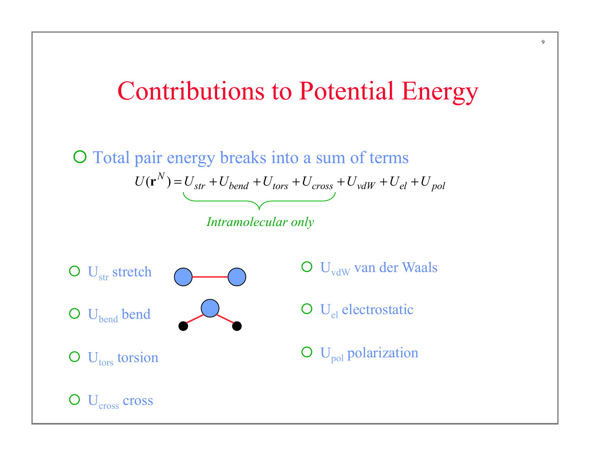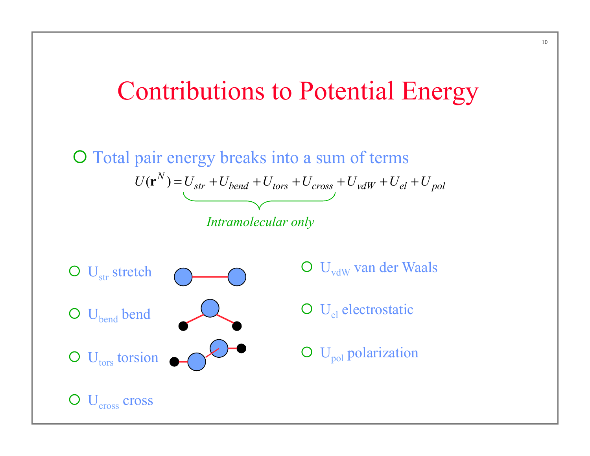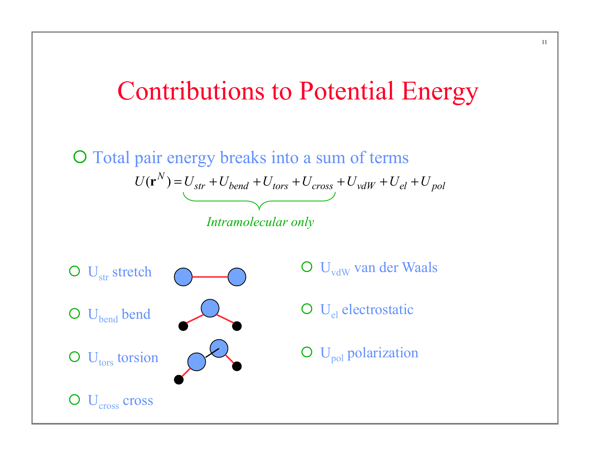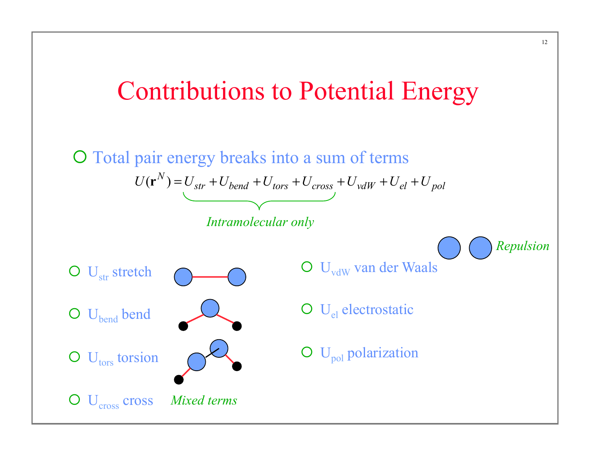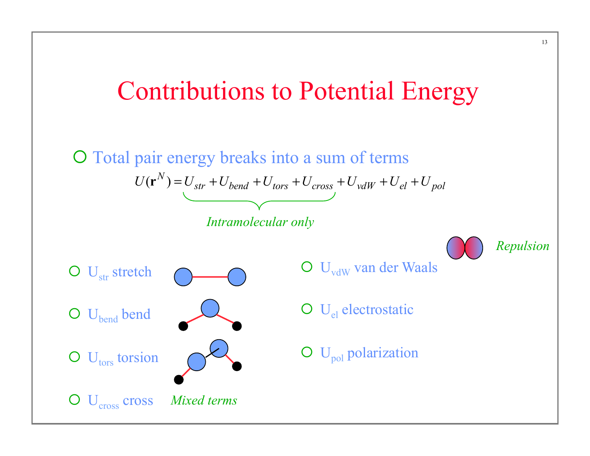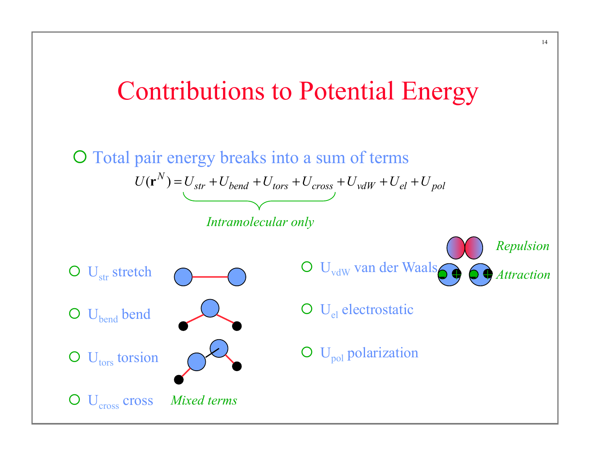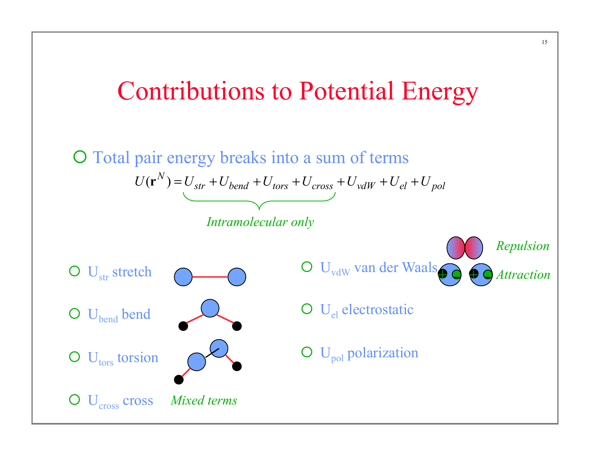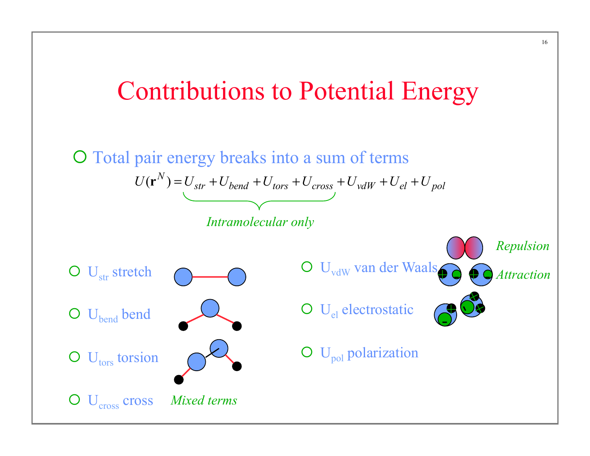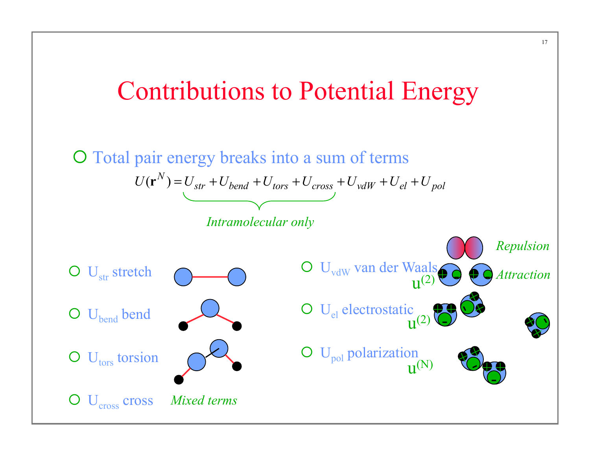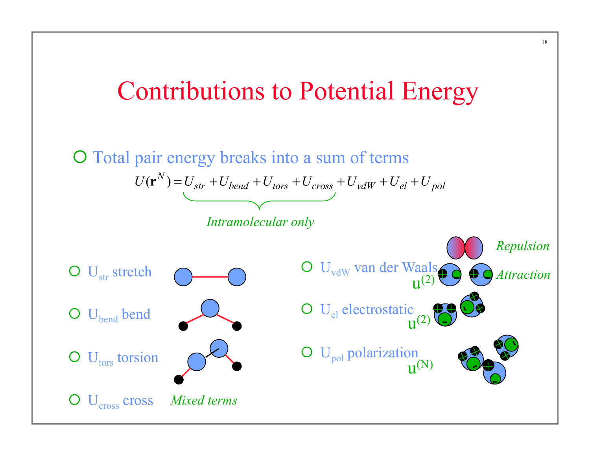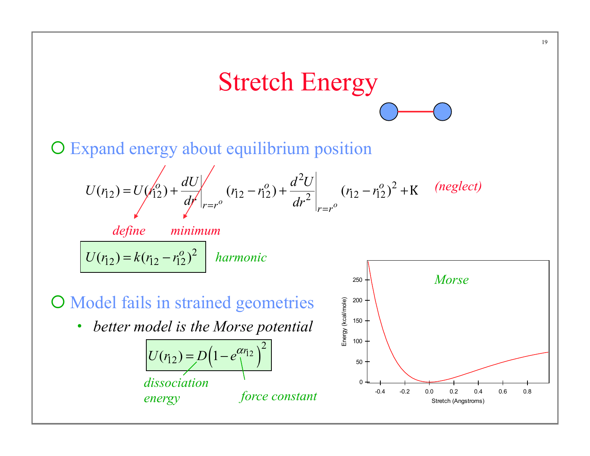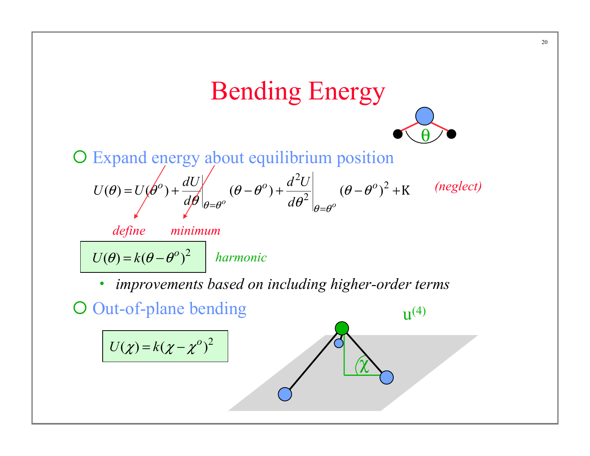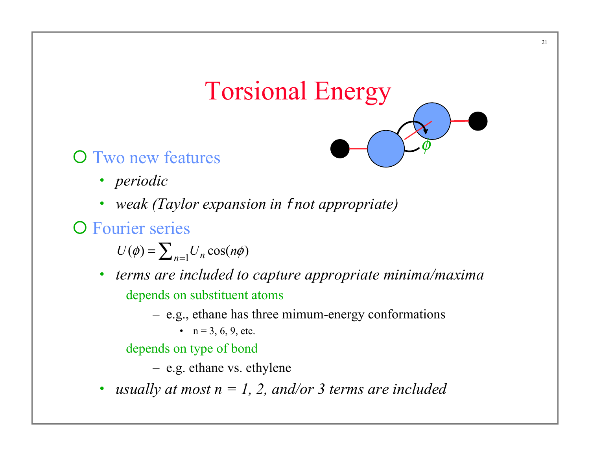# Torsional Energy

 $\phi$ 

- **O** Two new features
	- *periodic*
	- *weak (Taylor expansion in* f *not appropriate)*

**O** Fourier series

 $U(\phi) = \sum_{n=1}^{n} U_n \cos(n\phi)$ 

- *terms are included to capture appropriate minima/maxima*  depends on substituent atoms
	- e.g., ethane has three mimum-energy conformations
		- $n = 3, 6, 9, etc.$

depends on type of bond

– e.g. ethane vs. ethylene

• *usually at most n = 1, 2, and/or 3 terms are included*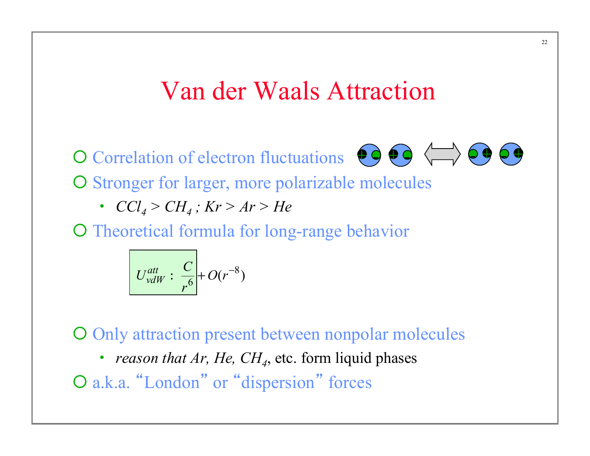### Van der Waals Attraction

O Correlation of electron fluctuations  $\bullet \bullet \bullet \leftrightarrow \bullet \bullet \bullet \bullet$ 



O Stronger for larger, more polarizable molecules

•  $CCl_4 > CH_4$ ;  $Kr > Ar > He$ 

O Theoretical formula for long-range behavior

$$
U_{vdW}^{att}: \frac{C}{r^6} + O(r^{-8})
$$

O Only attraction present between nonpolar molecules

• *reason that Ar, He, CH<sub>4</sub>*, etc. form liquid phases

O a.k.a. "London" or "dispersion" forces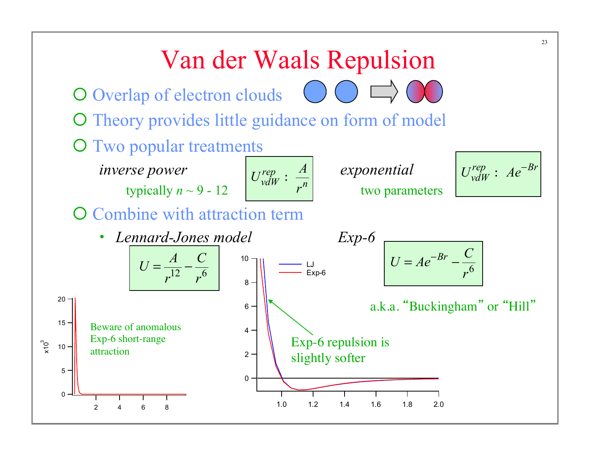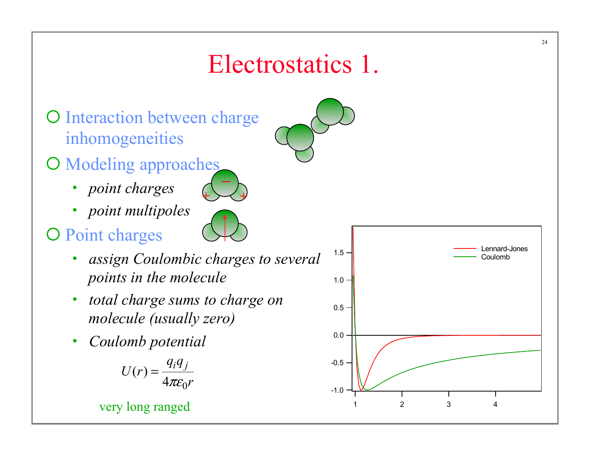# Electrostatics 1.

- O Interaction between charge inhomogeneities
- O Modeling approaches  $\begin{pmatrix} - \ - \end{pmatrix}$ 
	- *point charges*
	- *point multipoles*
- O Point charges
	- *assign Coulombic charges to several points in the molecule*
	- *total charge sums to charge on molecule (usually zero)*
	- *Coulomb potential*

$$
U(r) = \frac{q_i q_j}{4\pi \varepsilon_0 r}
$$



24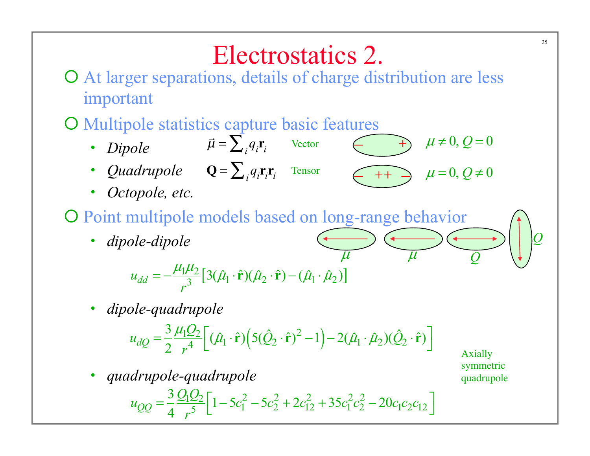# Electrostatics 2.

 $++$ 

 $\mu$ 

O At larger separations, details of charge distribution are less important

### ¡ Multipole statistics capture basic features

- *Dipole*  .<br>ה:  $\vec{\mu} = \sum_{i} q_i \mathbf{r}_i$  Vector − +
- *Quadrupole*  $\mathbf{Q} = \sum_i q_i \mathbf{r}_i \mathbf{r}_i$  Tensor
- *Octopole, etc.*

#### O Point multipole models based on long-range behavior

• *dipole-dipole* 

$$
\mu \qquad \qquad \mu
$$
  

$$
u_{dd} = -\frac{\mu_1 \mu_2}{r^3} [3(\hat{\mu}_1 \cdot \hat{\mathbf{r}})(\hat{\mu}_2 \cdot \hat{\mathbf{r}}) - (\hat{\mu}_1 \cdot \hat{\mu}_2)]
$$

• *dipole-quadrupole* 

$$
u_{dQ} = \frac{3}{2} \frac{\mu_1 Q_2}{r^4} \left[ (\hat{\mu}_1 \cdot \hat{\mathbf{r}}) \left( 5(\hat{Q}_2 \cdot \hat{\mathbf{r}})^2 - 1 \right) - 2(\hat{\mu}_1 \cdot \hat{\mu}_2) (\hat{Q}_2 \cdot \hat{\mathbf{r}}) \right]
$$

• *quadrupole-quadrupole* 

$$
u_{QQ} = \frac{3}{4} \frac{Q_1 Q_2}{r^5} \Big[ 1 - 5c_1^2 - 5c_2^2 + 2c_{12}^2 + 35c_1^2 c_2^2 - 20c_1 c_2 c_{12} \Big]
$$

Axially symmetric quadrupole

 $\mu \neq 0, Q = 0$ 

 $\mu = 0, Q \neq 0$ 

*Q*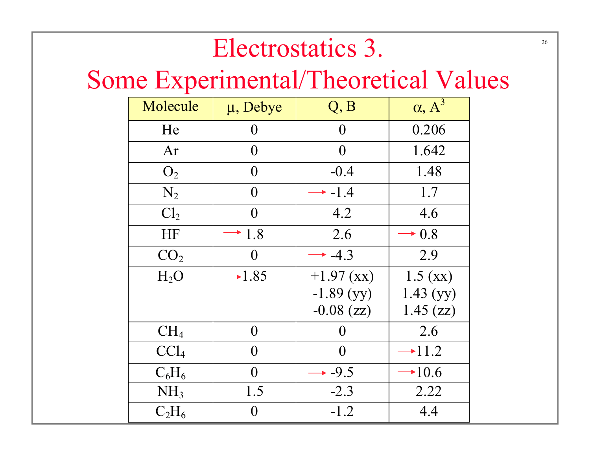# Electrostatics 3.

# Some Experimental/Theoretical Values

| Molecule         | $\mu$ , Debye    | Q, B           | $\alpha, A^3$ |
|------------------|------------------|----------------|---------------|
| He               | $\boldsymbol{0}$ | $\overline{0}$ | 0.206         |
| Ar               | $\overline{0}$   | $\theta$       | 1.642         |
| O <sub>2</sub>   | $\Omega$         | $-0.4$         | 1.48          |
| $N_2$            | $\overline{0}$   | $-1.4$         | 1.7           |
| Cl <sub>2</sub>  | 0                | 4.2            | 4.6           |
| HF               | $\cdot$ 1.8      | 2.6            | $+0.8$        |
| CO <sub>2</sub>  | $\theta$         | $+ 4.3$        | 2.9           |
| H <sub>2</sub> O | $-1.85$          | $+1.97$ (xx)   | 1.5 (xx)      |
|                  |                  | $-1.89$ (yy)   | 1.43(yy)      |
|                  |                  | $-0.08$ (zz)   | 1.45 (zz)     |
| $CH_4$           | $\overline{0}$   | 0              | 2.6           |
| CCl <sub>4</sub> | $\theta$         | $\theta$       | $\div 11.2$   |
| $C_6H_6$         | $\Omega$         | $+ -9.5$       | $+10.6$       |
| NH <sub>3</sub>  | 1.5              | $-2.3$         | 2.22          |
| $C_2H_6$         | $\boldsymbol{0}$ | $-1.2$         | 4.4           |

26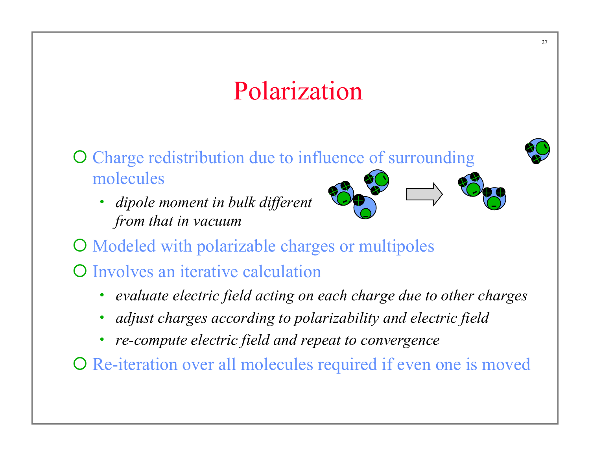# Polarization

- O Charge redistribution due to influence of surrounding molecules
	- *dipole moment in bulk different from that in vacuum*



- O Modeled with polarizable charges or multipoles
- **O** Involves an iterative calculation
	- *evaluate electric field acting on each charge due to other charges*
	- *adjust charges according to polarizability and electric field*
	- *re-compute electric field and repeat to convergence*

O Re-iteration over all molecules required if even one is moved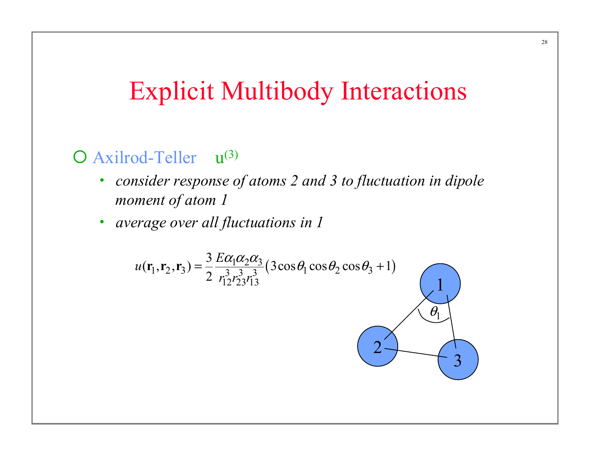## Explicit Multibody Interactions

#### O Axilrod-Teller  $u^{(3)}$

- *consider response of atoms 2 and 3 to fluctuation in dipole moment of atom 1*
- *average over all fluctuations in 1*

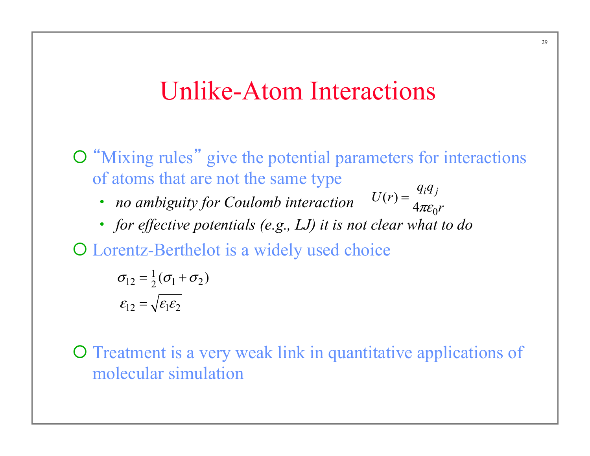### Unlike-Atom Interactions

 $\overline{O}$  "Mixing rules" give the potential parameters for interactions of atoms that are not the same type  $U(r) = \frac{q_i q_j}{r}$ 

 $\pi \varepsilon_0 r$ 

=

- *no ambiguity for Coulomb interaction*
- *for effective potentials (e.g., LJ) it is not clear what to do*   $(r) = \frac{q_1 q_2}{4 \pi \varepsilon_0}$

O Lorentz-Berthelot is a widely used choice

$$
\sigma_{12} = \frac{1}{2}(\sigma_1 + \sigma_2)
$$

$$
\varepsilon_{12} = \sqrt{\varepsilon_1 \varepsilon_2}
$$

¡ Treatment is a very weak link in quantitative applications of molecular simulation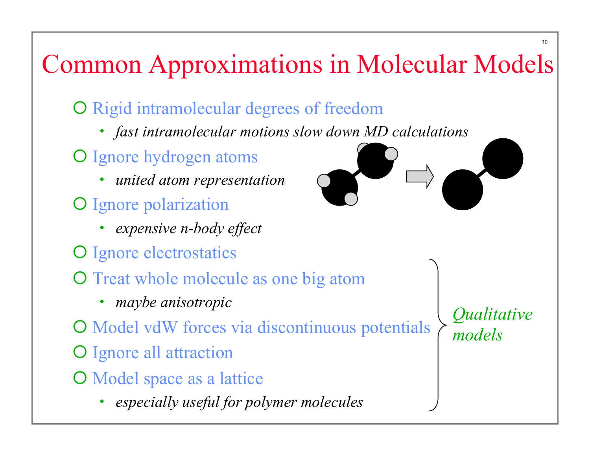# Common Approximations in Molecular Models

- O Rigid intramolecular degrees of freedom
	- *fast intramolecular motions slow down MD calculations*
- O Ignore hydrogen atoms
	- *united atom representation*
- O Ignore polarization
	- *expensive n-body effect*
- O Ignore electrostatics
- O Treat whole molecule as one big atom
	- *maybe anisotropic*
- O Model vdW forces via discontinuous potentials
- O Ignore all attraction
- O Model space as a lattice
	- *especially useful for polymer molecules*



*Qualitative models*

30